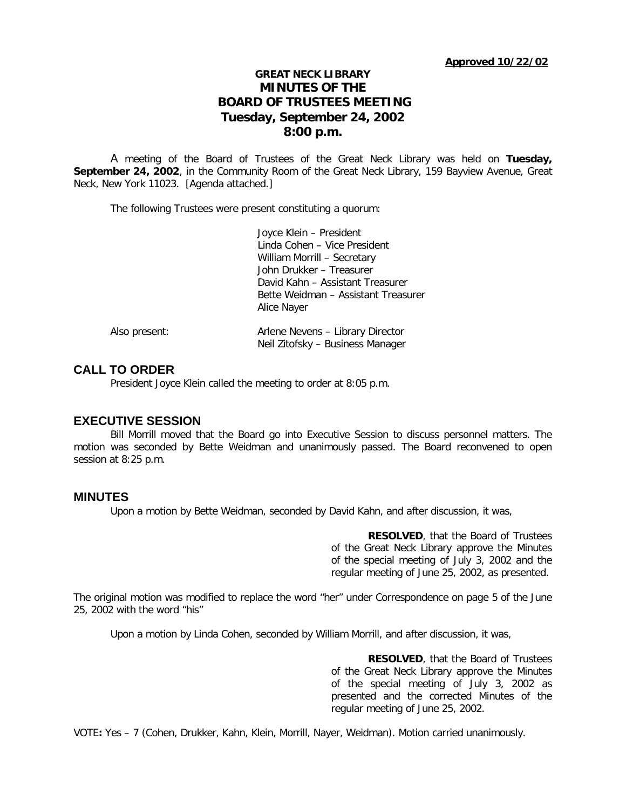# **GREAT NECK LIBRARY MINUTES OF THE BOARD OF TRUSTEES MEETING Tuesday, September 24, 2002 8:00 p.m.**

A meeting of the Board of Trustees of the Great Neck Library was held on **Tuesday, September 24, 2002**, in the Community Room of the Great Neck Library, 159 Bayview Avenue, Great Neck, New York 11023. [Agenda attached.]

The following Trustees were present constituting a quorum:

|               | Joyce Klein - President             |
|---------------|-------------------------------------|
|               | Linda Cohen - Vice President        |
|               | William Morrill - Secretary         |
|               | John Drukker - Treasurer            |
|               | David Kahn – Assistant Treasurer    |
|               | Bette Weidman – Assistant Treasurer |
|               | Alice Nayer                         |
| Also present: | Arlene Nevens - Library Director    |
|               | Neil Zitofsky – Business Manager    |

## **CALL TO ORDER**

President Joyce Klein called the meeting to order at 8:05 p.m.

## **EXECUTIVE SESSION**

Bill Morrill moved that the Board go into Executive Session to discuss personnel matters. The motion was seconded by Bette Weidman and unanimously passed. The Board reconvened to open session at 8:25 p.m.

### **MINUTES**

Upon a motion by Bette Weidman, seconded by David Kahn, and after discussion, it was,

**RESOLVED**, that the Board of Trustees of the Great Neck Library approve the Minutes of the special meeting of July 3, 2002 and the regular meeting of June 25, 2002, as presented.

The original motion was modified to replace the word "her" under Correspondence on page 5 of the June 25, 2002 with the word "his"

Upon a motion by Linda Cohen, seconded by William Morrill, and after discussion, it was,

**RESOLVED**, that the Board of Trustees of the Great Neck Library approve the Minutes of the special meeting of July 3, 2002 as presented and the corrected Minutes of the regular meeting of June 25, 2002.

VOTE**:** Yes – 7 (Cohen, Drukker, Kahn, Klein, Morrill, Nayer, Weidman). Motion carried unanimously.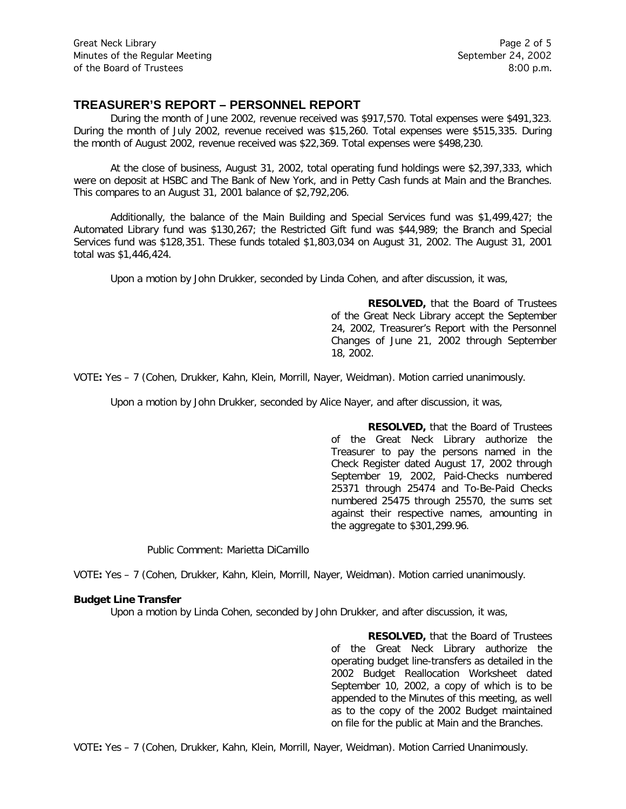## **TREASURER'S REPORT – PERSONNEL REPORT**

During the month of June 2002, revenue received was \$917,570. Total expenses were \$491,323. During the month of July 2002, revenue received was \$15,260. Total expenses were \$515,335. During the month of August 2002, revenue received was \$22,369. Total expenses were \$498,230.

At the close of business, August 31, 2002, total operating fund holdings were \$2,397,333, which were on deposit at HSBC and The Bank of New York, and in Petty Cash funds at Main and the Branches. This compares to an August 31, 2001 balance of \$2,792,206.

Additionally, the balance of the Main Building and Special Services fund was \$1,499,427; the Automated Library fund was \$130,267; the Restricted Gift fund was \$44,989; the Branch and Special Services fund was \$128,351. These funds totaled \$1,803,034 on August 31, 2002. The August 31, 2001 total was \$1,446,424.

Upon a motion by John Drukker, seconded by Linda Cohen, and after discussion, it was,

**RESOLVED,** that the Board of Trustees of the Great Neck Library accept the September 24, 2002, Treasurer's Report with the Personnel Changes of June 21, 2002 through September 18, 2002.

VOTE**:** Yes – 7 (Cohen, Drukker, Kahn, Klein, Morrill, Nayer, Weidman). Motion carried unanimously.

Upon a motion by John Drukker, seconded by Alice Nayer, and after discussion, it was,

**RESOLVED,** that the Board of Trustees of the Great Neck Library authorize the Treasurer to pay the persons named in the Check Register dated August 17, 2002 through September 19, 2002, Paid-Checks numbered 25371 through 25474 and To-Be-Paid Checks numbered 25475 through 25570, the sums set against their respective names, amounting in the aggregate to \$301,299.96.

Public Comment: Marietta DiCamillo

VOTE**:** Yes – 7 (Cohen, Drukker, Kahn, Klein, Morrill, Nayer, Weidman). Motion carried unanimously.

### **Budget Line Transfer**

Upon a motion by Linda Cohen, seconded by John Drukker, and after discussion, it was,

**RESOLVED,** that the Board of Trustees of the Great Neck Library authorize the operating budget line-transfers as detailed in the 2002 Budget Reallocation Worksheet dated September 10, 2002, a copy of which is to be appended to the Minutes of this meeting, as well as to the copy of the 2002 Budget maintained on file for the public at Main and the Branches.

VOTE**:** Yes – 7 (Cohen, Drukker, Kahn, Klein, Morrill, Nayer, Weidman). Motion Carried Unanimously.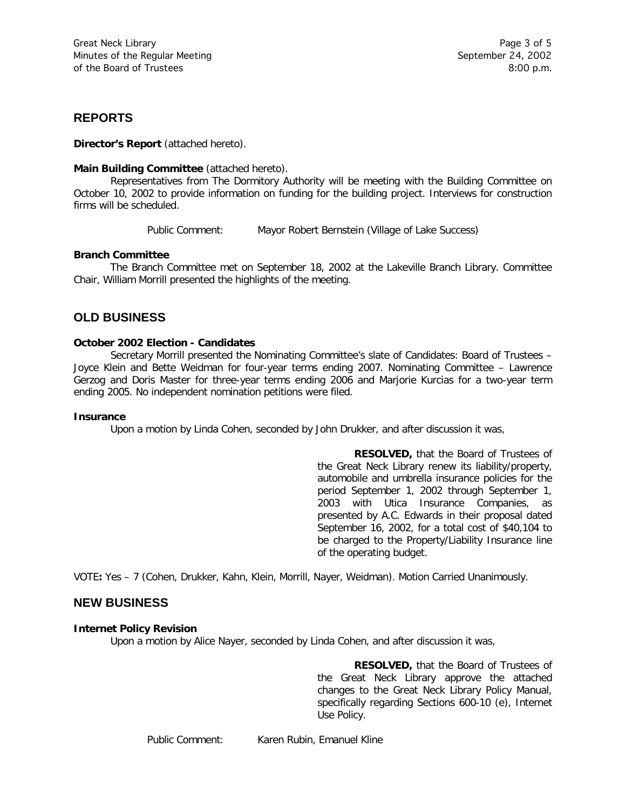## **REPORTS**

**Director's Report** (attached hereto).

### **Main Building Committee** (attached hereto).

Representatives from The Dormitory Authority will be meeting with the Building Committee on October 10, 2002 to provide information on funding for the building project. Interviews for construction firms will be scheduled.

Public Comment: Mayor Robert Bernstein (Village of Lake Success)

### **Branch Committee**

The Branch Committee met on September 18, 2002 at the Lakeville Branch Library. Committee Chair, William Morrill presented the highlights of the meeting.

# **OLD BUSINESS**

### **October 2002 Election - Candidates**

Secretary Morrill presented the Nominating Committee's slate of Candidates: Board of Trustees – Joyce Klein and Bette Weidman for four-year terms ending 2007. Nominating Committee – Lawrence Gerzog and Doris Master for three-year terms ending 2006 and Marjorie Kurcias for a two-year term ending 2005. No independent nomination petitions were filed.

### **Insurance**

Upon a motion by Linda Cohen, seconded by John Drukker, and after discussion it was,

**RESOLVED,** that the Board of Trustees of the Great Neck Library renew its liability/property, automobile and umbrella insurance policies for the period September 1, 2002 through September 1, 2003 with Utica Insurance Companies, as presented by A.C. Edwards in their proposal dated September 16, 2002, for a total cost of \$40,104 to be charged to the Property/Liability Insurance line of the operating budget.

VOTE**:** Yes – 7 (Cohen, Drukker, Kahn, Klein, Morrill, Nayer, Weidman). Motion Carried Unanimously.

## **NEW BUSINESS**

### **Internet Policy Revision**

Upon a motion by Alice Nayer, seconded by Linda Cohen, and after discussion it was,

**RESOLVED,** that the Board of Trustees of the Great Neck Library approve the attached changes to the Great Neck Library Policy Manual, specifically regarding Sections 600-10 (e), Internet Use Policy.

Public Comment: Karen Rubin, Emanuel Kline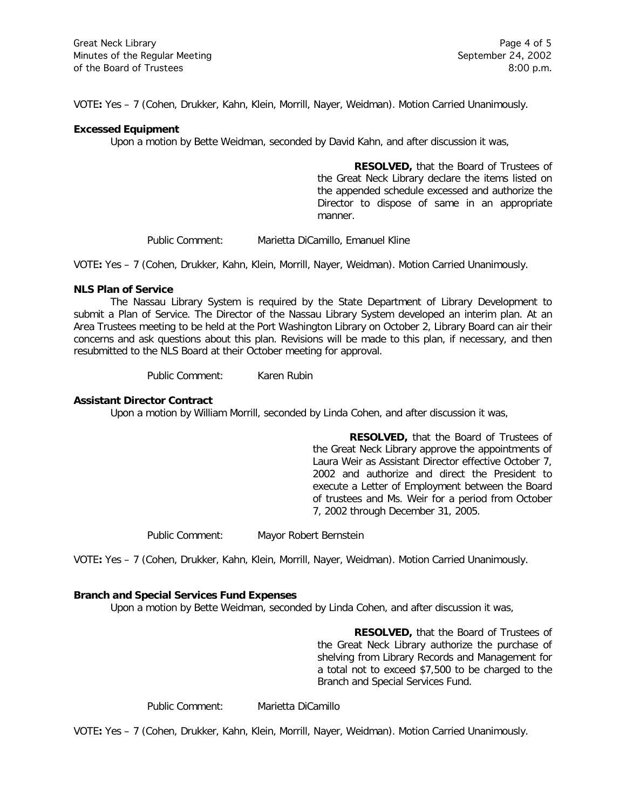VOTE**:** Yes – 7 (Cohen, Drukker, Kahn, Klein, Morrill, Nayer, Weidman). Motion Carried Unanimously.

#### **Excessed Equipment**

Upon a motion by Bette Weidman, seconded by David Kahn, and after discussion it was,

**RESOLVED,** that the Board of Trustees of the Great Neck Library declare the items listed on the appended schedule excessed and authorize the Director to dispose of same in an appropriate manner.

Public Comment: Marietta DiCamillo, Emanuel Kline

VOTE**:** Yes – 7 (Cohen, Drukker, Kahn, Klein, Morrill, Nayer, Weidman). Motion Carried Unanimously.

### **NLS Plan of Service**

The Nassau Library System is required by the State Department of Library Development to submit a Plan of Service. The Director of the Nassau Library System developed an interim plan. At an Area Trustees meeting to be held at the Port Washington Library on October 2, Library Board can air their concerns and ask questions about this plan. Revisions will be made to this plan, if necessary, and then resubmitted to the NLS Board at their October meeting for approval.

Public Comment: Karen Rubin

### **Assistant Director Contract**

Upon a motion by William Morrill, seconded by Linda Cohen, and after discussion it was,

**RESOLVED,** that the Board of Trustees of the Great Neck Library approve the appointments of Laura Weir as Assistant Director effective October 7, 2002 and authorize and direct the President to execute a Letter of Employment between the Board of trustees and Ms. Weir for a period from October 7, 2002 through December 31, 2005.

Public Comment: Mayor Robert Bernstein

VOTE**:** Yes – 7 (Cohen, Drukker, Kahn, Klein, Morrill, Nayer, Weidman). Motion Carried Unanimously.

### **Branch and Special Services Fund Expenses**

Upon a motion by Bette Weidman, seconded by Linda Cohen, and after discussion it was,

**RESOLVED,** that the Board of Trustees of the Great Neck Library authorize the purchase of shelving from Library Records and Management for a total not to exceed \$7,500 to be charged to the Branch and Special Services Fund.

Public Comment: Marietta DiCamillo

VOTE**:** Yes – 7 (Cohen, Drukker, Kahn, Klein, Morrill, Nayer, Weidman). Motion Carried Unanimously.